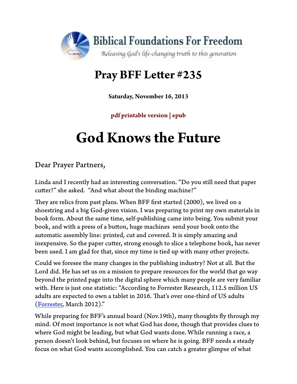

## **Pray BFF Leter #235**

**Saturday, November 16, 2013**

**pdf printable version | epub**

# **God Knows the Future**

Dear Prayer Partners,

Linda and I recently had an interesting conversation. "Do you still need that paper cuter?" she asked. "And what about the binding machine?"

They are relics from past plans. When BFF first started (2000), we lived on a shoestring and a big God-given vision. I was preparing to print my own materials in book form. About the same time, self-publishing came into being. You submit your book, and with a press of a buton, huge machines send your book onto the automatic assembly line: printed, cut and covered. It is simply amazing and inexpensive. So the paper cutter, strong enough to slice a telephone book, has never been used. I am glad for that, since my time is tied up with many other projects.

Could we foresee the many changes in the publishing industry? Not at all. But the Lord did. He has set us on a mission to prepare resources for the world that go way beyond the printed page into the digital sphere which many people are very familiar with. Here is just one statistic: "According to Forrester Research, 112.5 million US adults are expected to own a tablet in 2016. That's over one-third of US adults [\(Forrester](http://blogs.forrester.com/sarah_rotman_epps/12-03-06-forecast_update_amazon_expands_tablets_addressable_market), March 2012)."

[While prep](http://blogs.forrester.com/sarah_rotman_epps/12-03-06-forecast_update_amazon_expands_tablets_addressable_market)aring for BFF's annual board (Nov.19th), many thoughts fly through my mind. Of most importance is not what God has done, though that provides clues to where God might be leading, but what God wants done. While running a race, a person doesn't look behind, but focuses on where he is going. BFF needs a steady focus on what God wants accomplished. You can catch a greater glimpse of what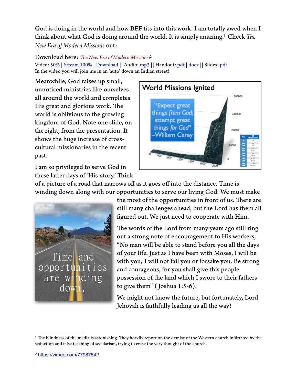God is doing in the world and how BFF fts into this work. I am totally awed when I think about what God is doing around the world. It is simply amazing[.1](#page-1-0) Check *Te New Era of Modern Missions* out:

Download here: *Te New Era of Modern Missions*[:2](#page-1-1)

Video: [50%](http://www.foundationsforfreedom.net/dl/bff/Modern-Missions/Modern_Missions50.mp4) | [Stream 100%](https://vimeo.com/77987842) | [Download](https://vimeo.com/77987842) || Audio: [mp3](http://www.foundationsforfreedom.net/dl/bff/Modern-Missions/Modern_Missions.mp3) || Handout: [pdf](http://www.foundationsforfreedom.net/dl/bff/Modern-Missions/Modern_Missions_handout.pdf) | [docx](http://www.foundationsforfreedom.net/dl/bff/Modern-Missions/Modern_Missions_handout.docx) || Slides: [pdf](http://www.foundationsforfreedom.net/dl/bff/Modern-Missions/Modern-Missions_Slides.pdf) In the video you will join me in an 'auto' down an Indian street!

Meanwhile, God raises up small, unnoticed ministries like ourselves all around the world and completes His great and glorious work. The world is oblivious to the growing kingdom of God. Note one slide, on the right, from the presentation. It shows the huge increase of crosscultural missionaries in the recent past.



I am so privileged to serve God in these latter days of 'His-story.' Think

of a picture of a road that narrows off as it goes off into the distance. Time is winding down along with our opportunities to serve our living God. We must make



the most of the opportunities in front of us. There are still many challenges ahead, but the Lord has them all fgured out. We just need to cooperate with Him.

The words of the Lord from many years ago still ring out a strong note of encouragement to His workers, "No man will be able to stand before you all the days of your life. Just as I have been with Moses, I will be with you; I will not fail you or forsake you. Be strong and courageous, for you shall give this people possession of the land which I swore to their fathers to give them" ( Joshua 1:5-6).

We might not know the future, but fortunately, Lord Jehovah is faithfully leading us all the way!

<span id="page-1-1"></span><span id="page-1-0"></span><sup>&</sup>lt;sup>1</sup> The blindness of the media is astonishing. They heavily report on the demise of the Western church infiltrated by the seduction and false teaching of secularism, trying to erase the very thought of the church.